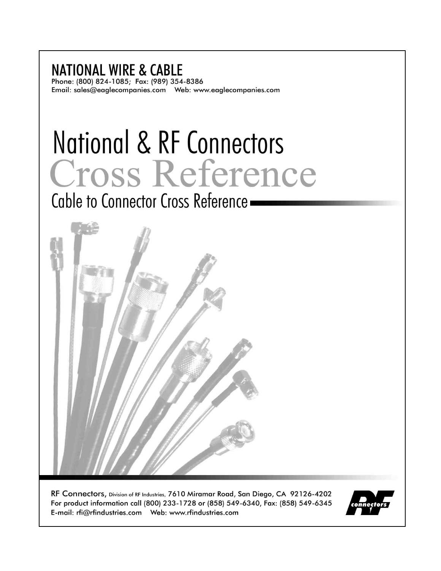#### **NATIONAL WIRE & CABLE** Phone: (800) 824-1085; Fax: (989) 354-8386

# National & RF Connectors Cross Reference

Cable to Connector Cross Reference -



RF Connectors, Division of RF Industries, 7610 Miramar Road, San Diego, CA 92126-4202 For product information call (800) 233-1728 or (858) 549-6340, Fax: (858) 549-6345 

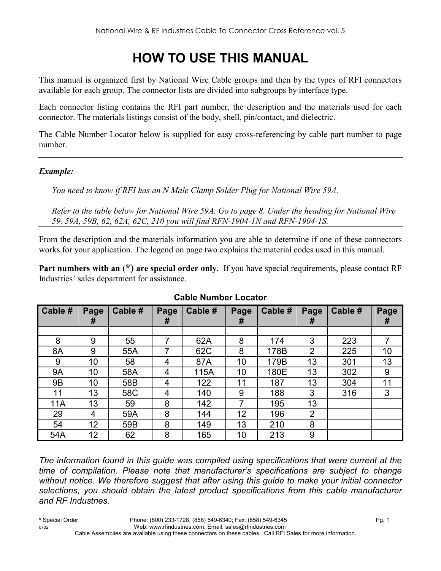# **HOW TO USE THIS MANUAL**

This manual is organized first by National Wire Cable groups and then by the types of RFI connectors available for each group. The connector lists are divided into subgroups by interface type.

Each connector listing contains the RFI part number, the description and the materials used for each connector. The materials listings consist of the body, shell, pin/contact, and dielectric.

The Cable Number Locator below is supplied for easy cross-referencing by cable part number to page number.

#### *Example:*

You need to know if RFI has an N Male Clamp Solder Plug for National Wire 59A.

*Refer to the table below for National Wire 59A. Go to page 8. Under the heading for National Wire 59, 59A, 59B, 62, 62A, 62C, 210 you will find RFN-1904-1N and RFN-1904-1S.* 

From the description and the materials information you are able to determine if one of these connectors works for your application. The legend on page two explains the material codes used in this manual.

**Part numbers with an (\*) are special order only.** If you have special requirements, please contact RF Industries' sales department for assistance.

| Cable #   | Page<br># | Cable # | Page<br># | Cable # | Page<br># | Cable # | Page<br>#      | Cable # | Page<br># |
|-----------|-----------|---------|-----------|---------|-----------|---------|----------------|---------|-----------|
|           |           |         |           |         |           |         |                |         |           |
| 8         | 9         | 55      | 7         | 62A     | 8         | 174     | 3              | 223     | 7         |
| 8A        | 9         | 55A     | 7         | 62C     | 8         | 178B    | $\overline{2}$ | 225     | 10        |
| 9         | 10        | 58      | 4         | 87A     | 10        | 179B    | 13             | 301     | 13        |
| <b>9A</b> | 10        | 58A     | 4         | 115A    | 10        | 180E    | 13             | 302     | 9         |
| <b>9B</b> | 10        | 58B     | 4         | 122     | 11        | 187     | 13             | 304     | 11        |
| 11        | 13        | 58C     | 4         | 140     | 9         | 188     | 3              | 316     | 3         |
| 11A       | 13        | 59      | 8         | 142     | 7         | 195     | 13             |         |           |
| 29        | 4         | 59A     | 8         | 144     | 12        | 196     | $\overline{2}$ |         |           |
| 54        | 12        | 59B     | 8         | 149     | 13        | 210     | 8              |         |           |
| 54A       | 12        | 62      | 8         | 165     | 10        | 213     | 9              |         |           |

#### **Cable Number Locator**

*The information found in this guide was compiled using specifications that were current at the time of compilation. Please note that manufacturer's specifications are subject to change without notice. We therefore suggest that after using this guide to make your initial connector selections, you should obtain the latest product specifications from this cable manufacturer and RF Industries.*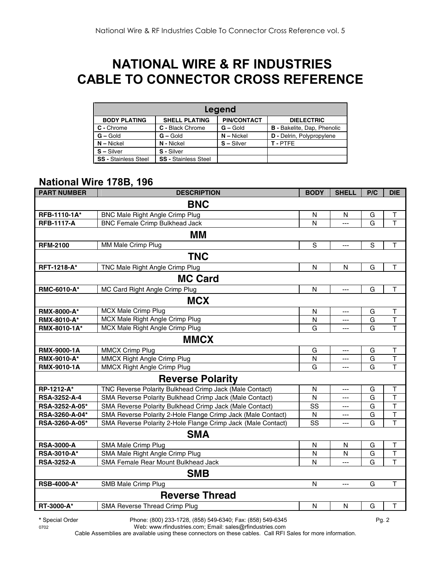# **NATIONAL WIRE & RF INDUSTRIES CABLE TO CONNECTOR CROSS REFERENCE**

| Legend                      |                             |                    |                                    |  |  |  |  |  |
|-----------------------------|-----------------------------|--------------------|------------------------------------|--|--|--|--|--|
| <b>BODY PLATING</b>         | <b>SHELL PLATING</b>        | <b>PIN/CONTACT</b> | <b>DIELECTRIC</b>                  |  |  |  |  |  |
| C - Chrome                  | C - Black Chrome            | $G -$ Gold         | <b>B</b> - Bakelite, Dap, Phenolic |  |  |  |  |  |
| $G - Gold$                  | $G - Gold$                  | $N -$ Nickel       | <b>D</b> - Delrin, Polypropylene   |  |  |  |  |  |
| $N - Nickel$                | N - Nickel                  | $S - Silver$       | T-PTFE                             |  |  |  |  |  |
| $S - Silver$                | S - Silver                  |                    |                                    |  |  |  |  |  |
| <b>SS - Stainless Steel</b> | <b>SS - Stainless Steel</b> |                    |                                    |  |  |  |  |  |

#### **National Wire 178B, 196**

| <b>PART NUMBER</b> | <b>DESCRIPTION</b>                                           | <b>BODY</b>             | <b>SHELL</b> | P/C | <b>DIE</b>              |  |  |  |
|--------------------|--------------------------------------------------------------|-------------------------|--------------|-----|-------------------------|--|--|--|
| <b>BNC</b>         |                                                              |                         |              |     |                         |  |  |  |
| RFB-1110-1A*       | <b>BNC Male Right Angle Crimp Plug</b>                       | N                       | N            | G   | Т                       |  |  |  |
| <b>RFB-1117-A</b>  | <b>BNC Female Crimp Bulkhead Jack</b>                        | N                       | ---          | G   | T                       |  |  |  |
|                    | MМ                                                           |                         |              |     |                         |  |  |  |
| <b>RFM-2100</b>    | MM Male Crimp Plug                                           | S                       | ---          | S   | $\top$                  |  |  |  |
|                    | <b>TNC</b>                                                   |                         |              |     |                         |  |  |  |
| <b>RFT-1218-A*</b> | TNC Male Right Angle Crimp Plug                              | $\mathsf{N}$            | N            | G   | $\top$                  |  |  |  |
|                    | <b>MC Card</b>                                               |                         |              |     |                         |  |  |  |
| RMC-6010-A*        | MC Card Right Angle Crimp Plug                               | $\overline{\mathsf{N}}$ | ---          | G   | $\top$                  |  |  |  |
|                    | <b>MCX</b>                                                   |                         |              |     |                         |  |  |  |
| RMX-8000-A*        | <b>MCX Male Crimp Plug</b>                                   | $\mathsf{N}$            | ---          | G   | Τ                       |  |  |  |
| RMX-8010-A*        | MCX Male Right Angle Crimp Plug                              | N                       | ---          | G   | T                       |  |  |  |
| RMX-8010-1A*       | MCX Male Right Angle Crimp Plug                              | G                       | ---          | G   | T                       |  |  |  |
|                    | <b>MMCX</b>                                                  |                         |              |     |                         |  |  |  |
| <b>RMX-9000-1A</b> | <b>MMCX Crimp Plug</b>                                       | G                       | ---          | G   | Τ                       |  |  |  |
| <b>RMX-9010-A*</b> | <b>MMCX Right Angle Crimp Plug</b>                           | N                       | ---          | G   | $\overline{\mathsf{T}}$ |  |  |  |
| RMX-9010-1A        | <b>MMCX Right Angle Crimp Plug</b>                           | G                       | ---          | G   | T                       |  |  |  |
|                    | <b>Reverse Polarity</b>                                      |                         |              |     |                         |  |  |  |
| RP-1212-A*         | TNC Reverse Polarity Bulkhead Crimp Jack (Male Contact)      | $\mathsf{N}$            | ---          | G   | Τ                       |  |  |  |
| RSA-3252-A-4       | SMA Reverse Polarity Bulkhead Crimp Jack (Male Contact)      | N                       | ---          | G   | T                       |  |  |  |
| RSA-3252-A-05*     | SMA Reverse Polarity Bulkhead Crimp Jack (Male Contact)      | SS                      |              | G   | T                       |  |  |  |
| RSA-3260-A-04*     | SMA Reverse Polarity 2-Hole Flange Crimp Jack (Male Contact) | N                       | ---          | G   | $\overline{\mathsf{T}}$ |  |  |  |
| RSA-3260-A-05*     | SMA Reverse Polarity 2-Hole Flange Crimp Jack (Male Contact) | SS                      | ---          | G   | T                       |  |  |  |
|                    | <b>SMA</b>                                                   |                         |              |     |                         |  |  |  |
| <b>RSA-3000-A</b>  | SMA Male Crimp Plug                                          | N                       | N            | G   | T                       |  |  |  |
| RSA-3010-A*        | SMA Male Right Angle Crimp Plug                              | N                       | N            | G   | T                       |  |  |  |
| <b>RSA-3252-A</b>  | SMA Female Rear Mount Bulkhead Jack                          | N                       | $-$ --       | G   | T                       |  |  |  |
|                    | <b>SMB</b>                                                   |                         |              |     |                         |  |  |  |
| <b>RSB-4000-A*</b> | SMB Male Crimp Plug                                          | N                       | $---$        | G   | T                       |  |  |  |
|                    | <b>Reverse Thread</b>                                        |                         |              |     |                         |  |  |  |
| RT-3000-A*         | <b>SMA Reverse Thread Crimp Plug</b>                         | $\mathsf{N}$            | N            | G   | T                       |  |  |  |

**\*** Special Order Phone: (800) 233-1728, (858) 549-6340; Fax: (858) 549-6345 Pg. 2

0702 Web: www.rfindustries.com; Email: sales@rfindustries.com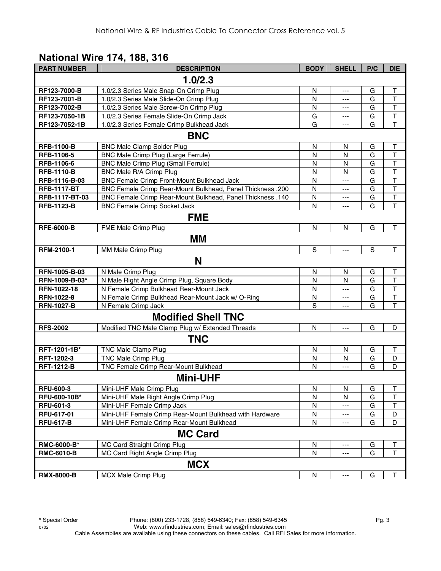#### **National Wire 174, 188, 316**

| <b>PART NUMBER</b> | <b>DESCRIPTION</b>                                         | <b>BODY</b>   | <b>SHELL</b>              | P/C         | <b>DIE</b>              |
|--------------------|------------------------------------------------------------|---------------|---------------------------|-------------|-------------------------|
|                    | 1.0/2.3                                                    |               |                           |             |                         |
| RF123-7000-B       | 1.0/2.3 Series Male Snap-On Crimp Plug                     | N             | ---                       | G           | $\top$                  |
| RF123-7001-B       | 1.0/2.3 Series Male Slide-On Crimp Plug                    | N             | $\overline{a}$            | G           | $\mathsf{T}$            |
| RF123-7002-B       | 1.0/2.3 Series Male Screw-On Crimp Plug                    | N             | ---                       | G           | $\mathsf T$             |
| RF123-7050-1B      | 1.0/2.3 Series Female Slide-On Crimp Jack                  | G             | ---                       | G           | $\overline{\mathsf{T}}$ |
| RF123-7052-1B      | 1.0/2.3 Series Female Crimp Bulkhead Jack                  | G             | ---                       | G           | $\mathsf T$             |
|                    | <b>BNC</b>                                                 |               |                           |             |                         |
| <b>RFB-1100-B</b>  | <b>BNC Male Clamp Solder Plug</b>                          | N             | N                         | G           | Τ                       |
| RFB-1106-5         | BNC Male Crimp Plug (Large Ferrule)                        | N             | N                         | G           | $\top$                  |
| RFB-1106-6         | <b>BNC Male Crimp Plug (Small Ferrule)</b>                 | N             | N                         | G           | $\top$                  |
| <b>RFB-1110-B</b>  | BNC Male R/A Crimp Plug                                    | N             | N                         | G           | $\overline{\mathsf{T}}$ |
| RFB-1116-B-03      | BNC Female Crimp Front-Mount Bulkhead Jack                 | $\mathsf{N}$  | $---$                     | G           | $\overline{\mathsf{T}}$ |
| <b>RFB-1117-BT</b> | BNC Female Crimp Rear-Mount Bulkhead, Panel Thickness .200 | N             | $---$                     | G           | $\overline{\mathsf{T}}$ |
| RFB-1117-BT-03     | BNC Female Crimp Rear-Mount Bulkhead, Panel Thickness .140 | N             | ---                       | G           | $\overline{\mathsf{T}}$ |
| <b>RFB-1123-B</b>  | <b>BNC Female Crimp Socket Jack</b>                        | N             | ---                       | G           | $\overline{1}$          |
|                    | <b>FME</b>                                                 |               |                           |             |                         |
| <b>RFE-6000-B</b>  | FME Male Crimp Plug                                        | ${\sf N}$     | ${\sf N}$                 | G           | $\top$                  |
|                    | MМ                                                         |               |                           |             |                         |
| <b>RFM-2100-1</b>  | MM Male Crimp Plug                                         | ${\mathsf S}$ | $\overline{a}$            | $\mathbf S$ | $\top$                  |
|                    | N                                                          |               |                           |             |                         |
| RFN-1005-B-03      | N Male Crimp Plug                                          | N             | N                         | G           | $\top$                  |
| RFN-1009-B-03*     | N Male Right Angle Crimp Plug, Square Body                 | N             | $\mathsf{N}$              | G           | $\overline{\mathsf{T}}$ |
| RFN-1022-18        | N Female Crimp Bulkhead Rear-Mount Jack                    | N             | $\overline{a}$            | G           | $\mathsf T$             |
| <b>RFN-1022-8</b>  | N Female Crimp Bulkhead Rear-Mount Jack w/ O-Ring          | N             | ---                       | G           | $\overline{\mathsf{T}}$ |
| <b>RFN-1027-B</b>  | N Female Crimp Jack                                        | S             | ---                       | G           | $\overline{\mathsf{T}}$ |
|                    | <b>Modified Shell TNC</b>                                  |               |                           |             |                         |
| <b>RFS-2002</b>    | Modified TNC Male Clamp Plug w/ Extended Threads           | N             | $\overline{a}$            | G           | D                       |
|                    | TNC                                                        |               |                           |             |                         |
| RFT-1201-1B*       | <b>TNC Male Clamp Plug</b>                                 | N             | N                         | G           | $\top$                  |
| RFT-1202-3         | <b>TNC Male Crimp Plug</b>                                 | N             | N                         | G           | D                       |
| <b>RFT-1212-B</b>  | TNC Female Crimp Rear-Mount Bulkhead                       | N             | $\overline{a}$            | G           | D                       |
|                    | <b>Mini-UHF</b>                                            |               |                           |             |                         |
| <b>RFU-600-3</b>   | Mini-UHF Male Crimp Plug                                   | N             | N                         | G           | T                       |
| RFU-600-10B*       | Mini-UHF Male Right Angle Crimp Plug                       | N             | N                         | G           | T                       |
| RFU-601-3          | Mini-UHF Female Crimp Jack                                 | N             | $---$                     | G           | $\sf T$                 |
| RFU-617-01         | Mini-UHF Female Crimp Rear-Mount Bulkhead with Hardware    | N             | ---                       | G           | D                       |
| <b>RFU-617-B</b>   | Mini-UHF Female Crimp Rear-Mount Bulkhead                  | N             | ---                       | G           | D                       |
|                    | <b>MC Card</b>                                             |               |                           |             |                         |
| RMC-6000-B*        | MC Card Straight Crimp Plug                                | N             | $--$                      | G           | T                       |
| <b>RMC-6010-B</b>  | MC Card Right Angle Crimp Plug                             | N             | ---                       | G           | T                       |
|                    | <b>MCX</b>                                                 |               |                           |             |                         |
| <b>RMX-8000-B</b>  | <b>MCX Male Crimp Plug</b>                                 | ${\sf N}$     | $\qquad \qquad -\qquad -$ | G           | $\top$                  |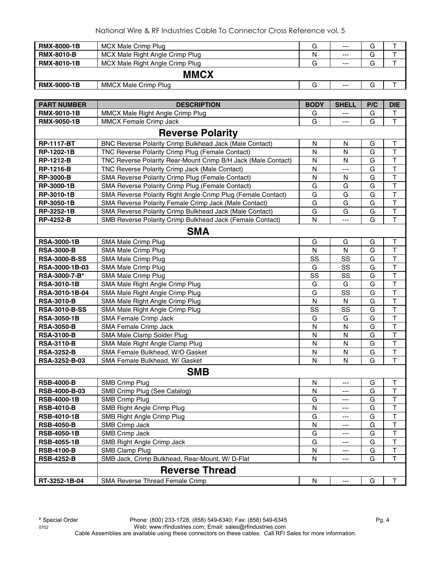| <b>RMX-8000-1B</b> | MCX Male Crimp Plug             | G | $---$ | G |  |
|--------------------|---------------------------------|---|-------|---|--|
| <b>RMX-8010-B</b>  | MCX Male Right Angle Crimp Plug | N | $---$ | G |  |
| <b>RMX-8010-1B</b> | MCX Male Right Angle Crimp Plug | G | $---$ | G |  |
|                    | <b>MMCX</b>                     |   |       |   |  |
| <b>RMX-9000-1B</b> | MMCX Male Crimp Plug            | G | $---$ | G |  |

| <b>PART NUMBER</b>   | <b>DESCRIPTION</b>                                             | <b>BODY</b>  | <b>SHELL</b> | P/C | <b>DIE</b>              |
|----------------------|----------------------------------------------------------------|--------------|--------------|-----|-------------------------|
| <b>RMX-9010-1B</b>   | MMCX Male Right Angle Crimp Plug                               | G            |              | G   | Т                       |
| <b>RMX-9050-1B</b>   | MMCX Female Crimp Jack                                         | G            | ---          | G   | $\top$                  |
|                      | <b>Reverse Polarity</b>                                        |              |              |     |                         |
| <b>RP-1117-BT</b>    | <b>BNC Reverse Polarity Crimp Bulkhead Jack (Male Contact)</b> | N            | N            | G   | Т                       |
| RP-1202-1B           | TNC Reverse Polarity Crimp Plug (Female Contact)               | N            | N            | G   | T                       |
| <b>RP-1212-B</b>     | TNC Reverse Polarity Rear-Mount Crimp B/H Jack (Male Contact)  | N            | N            | G   | T                       |
| <b>RP-1216-B</b>     | TNC Reverse Polarity Crimp Jack (Male Contact)                 | $\mathsf{N}$ | ---          | G   | $\overline{\mathsf{T}}$ |
| <b>RP-3000-B</b>     | SMA Reverse Polarity Crimp Plug (Female Contact)               | $\mathsf{N}$ | N            | G   | $\overline{\mathsf{T}}$ |
| RP-3000-1B           | SMA Reverse Polarity Crimp Plug (Female Contact)               | G            | G            | G   | $\overline{\mathsf{T}}$ |
| RP-3010-1B           | SMA Reverse Polarity Right Angle Crimp Plug (Female Contact)   | G            | G            | G   | $\overline{\mathsf{T}}$ |
| RP-3050-1B           | SMA Reverse Polarity Female Crimp Jack (Male Contact)          | G            | G            | G   | $\mathsf T$             |
| RP-3252-1B           | SMA Reverse Polarity Crimp Bulkhead Jack (Male Contact)        | G            | G            | G   | $\sf T$                 |
| <b>RP-4252-B</b>     | SMB Reverse Polarity Crimp Bulkhead Jack (Female Contact)      | $\mathsf{N}$ | ---          | G   | $\overline{\mathsf{T}}$ |
|                      | <b>SMA</b>                                                     |              |              |     |                         |
| <b>RSA-3000-1B</b>   | SMA Male Crimp Plug                                            | G            | G            | G   | T                       |
| <b>RSA-3000-B</b>    | SMA Male Crimp Plug                                            | N            | N            | G   | $\mathsf T$             |
| <b>RSA-3000-B-SS</b> | SMA Male Crimp Plug                                            | SS           | SS           | G   | $\overline{\mathsf{T}}$ |
| RSA-3000-1B-03       | SMA Male Crimp Plug                                            | G            | SS           | G   | $\overline{\mathsf{T}}$ |
| RSA-3000-7-B*        | SMA Male Crimp Plug                                            | SS           | SS           | G   | $\overline{\mathsf{T}}$ |
| <b>RSA-3010-1B</b>   | SMA Male Right Angle Crimp Plug                                | G            | G            | G   | $\overline{\mathsf{T}}$ |
| RSA-3010-1B-04       | SMA Male Right Angle Crimp Plug                                | G            | SS           | G   | $\overline{\mathsf{T}}$ |
| <b>RSA-3010-B</b>    | SMA Male Right Angle Crimp Plug                                | N            | N            | G   | $\mathsf T$             |
| <b>RSA-3010-B-SS</b> | SMA Male Right Angle Crimp Plug                                | SS           | SS           | G   | $\overline{\mathsf{T}}$ |
| <b>RSA-3050-1B</b>   | SMA Female Crimp Jack                                          | G            | G            | G   | $\overline{\mathsf{T}}$ |
| <b>RSA-3050-B</b>    | SMA Female Crimp Jack                                          | N            | N            | G   | T                       |
| <b>RSA-3100-B</b>    | SMA Male Clamp Solder Plug                                     | $\mathsf{N}$ | ${\sf N}$    | G   | $\overline{\mathsf{T}}$ |
| <b>RSA-3110-B</b>    | SMA Male Right Angle Clamp Plug                                | $\mathsf{N}$ | ${\sf N}$    | G   | $\overline{\mathsf{T}}$ |
| <b>RSA-3252-B</b>    | SMA Female Bulkhead, W/O Gasket                                | N            | N            | G   | $\sf T$                 |
| RSA-3252-B-03        | SMA Female Bulkhead, W/ Gasket                                 | N            | N            | G   | $\overline{\mathsf{T}}$ |
|                      | <b>SMB</b>                                                     |              |              |     |                         |
| <b>RSB-4000-B</b>    | <b>SMB Crimp Plug</b>                                          | N            | ---          | G   | T                       |
| RSB-4000-B-03        | SMB Crimp Plug (See Catalog)                                   | N            | ---          | G   | $\mathsf T$             |
| <b>RSB-4000-1B</b>   | <b>SMB Crimp Plug</b>                                          | G            | ---          | G   | $\overline{\mathsf{T}}$ |
| <b>RSB-4010-B</b>    | SMB Right Angle Crimp Plug                                     | N            | ---          | G   | $\overline{\mathsf{T}}$ |
| <b>RSB-4010-1B</b>   | SMB Right Angle Crimp Plug                                     | G            | ---          | G   | T                       |
| <b>RSB-4050-B</b>    | SMB Crimp Jack                                                 | N            | ---          | G   | I.                      |
| <b>RSB-4050-1B</b>   | SMB Crimp Jack                                                 | G            | ---          | G   | T                       |
| <b>RSB-4055-1B</b>   | SMB Right Angle Crimp Jack                                     | G            | ---          | G   | Τ                       |
| <b>RSB-4100-B</b>    | SMB Clamp Plug                                                 | N            | ---          | G   | T                       |
| <b>RSB-4252-B</b>    | SMB Jack, Crimp Bulkhead, Rear-Mount, W/ D-Flat                | $\mathsf{N}$ | ---          | G   | T                       |
|                      | <b>Reverse Thread</b>                                          |              |              |     |                         |
| RT-3252-1B-04        | SMA Reverse Thread Female Crimp                                | N            | ---          | G   | Τ                       |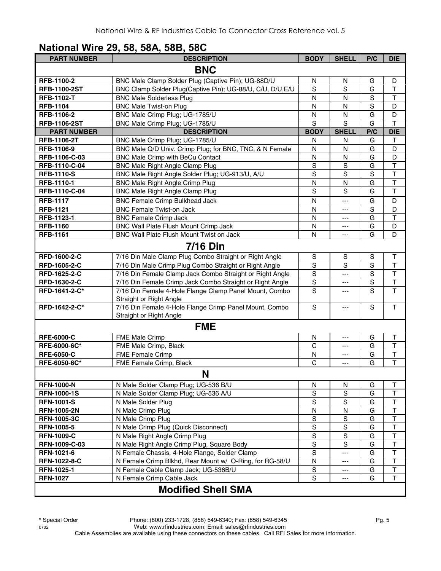#### **National Wire 29, 58, 58A, 58B, 58C**

| <b>PART NUMBER</b>  | <b>DESCRIPTION</b>                                         | <b>BODY</b>    | <b>SHELL</b>   | P/C            | <b>DIE</b>              |
|---------------------|------------------------------------------------------------|----------------|----------------|----------------|-------------------------|
|                     | <b>BNC</b>                                                 |                |                |                |                         |
| RFB-1100-2          | BNC Male Clamp Solder Plug (Captive Pin); UG-88D/U         | N              | N              | G              | D                       |
| <b>RFB-1100-2ST</b> | BNC Clamp Solder Plug(Captive Pin); UG-88/U, C/U, D/U, E/U | S              | S              | G              | $\mathsf T$             |
| <b>RFB-1102-T</b>   | <b>BNC Male Solderless Plug</b>                            | N              | N              | $\mathsf S$    | $\mathsf T$             |
| <b>RFB-1104</b>     | <b>BNC Male Twist-on Plug</b>                              | N              | N              | $\overline{s}$ | D                       |
| RFB-1106-2          | BNC Male Crimp Plug; UG-1785/U                             | N              | $\mathsf{N}$   | G              | D                       |
| <b>RFB-1106-2ST</b> | BNC Male Crimp Plug; UG-1785/U                             | S              | S              | G              | $\mathsf T$             |
| <b>PART NUMBER</b>  | <b>DESCRIPTION</b>                                         | <b>BODY</b>    | <b>SHELL</b>   | P/C            | <b>DIE</b>              |
| <b>RFB-1106-2T</b>  | BNC Male Crimp Plug; UG-1785/U                             | N              | N              | G              | T                       |
| RFB-1106-9          | BNC Male Q/D Univ. Crimp Plug; for BNC, TNC, & N Female    | $\mathsf{N}$   | N              | G              | D                       |
| RFB-1106-C-03       | BNC Male Crimp with BeCu Contact                           | $\mathsf{N}$   | $\mathsf{N}$   | G              | D                       |
| RFB-1110-C-04       | <b>BNC Male Right Angle Clamp Plug</b>                     | $\mathbf S$    | S              | G              | $\overline{\mathsf{T}}$ |
| <b>RFB-1110-S</b>   | BNC Male Right Angle Solder Plug; UG-913/U, A/U            | S              | S              | S              | $\top$                  |
| RFB-1110-1          | <b>BNC Male Right Angle Crimp Plug</b>                     | N              | N              | G              | $\overline{\mathsf{T}}$ |
| RFB-1110-C-04       | <b>BNC Male Right Angle Clamp Plug</b>                     | $\mathbf S$    | S              | G              | $\overline{\mathsf{T}}$ |
| <b>RFB-1117</b>     | <b>BNC Female Crimp Bulkhead Jack</b>                      | $\mathsf{N}$   | ---            | G              | D                       |
| <b>RFB-1121</b>     | <b>BNC Female Twist-on Jack</b>                            | N              | ---            | S              | D                       |
| RFB-1123-1          | <b>BNC Female Crimp Jack</b>                               | N              | ---            | G              | $\mathsf{T}$            |
| <b>RFB-1160</b>     | BNC Wall Plate Flush Mount Crimp Jack                      | N              | ---            | G              | D                       |
| <b>RFB-1161</b>     | BNC Wall Plate Flush Mount Twist on Jack                   | N              | ---            | G              | D                       |
|                     | <b>7/16 Din</b>                                            |                |                |                |                         |
| RFD-1600-2-C        | 7/16 Din Male Clamp Plug Combo Straight or Right Angle     | ${\mathsf S}$  | $\mathbb S$    | S              | $\sf T$                 |
| RFD-1605-2-C        | 7/16 Din Male Crimp Plug Combo Straight or Right Angle     | $\overline{s}$ | $\overline{s}$ | $\overline{s}$ | $\overline{\mathsf{T}}$ |
| RFD-1625-2-C        | 7/16 Din Female Clamp Jack Combo Straight or Right Angle   | $\overline{s}$ | ---            | $\overline{s}$ | $\overline{\mathsf{T}}$ |
| RFD-1630-2-C        | 7/16 Din Female Crimp Jack Combo Straight or Right Angle   | $\mathbf S$    | $---$          | $\mathbf S$    | $\mathsf T$             |
| RFD-1641-2-C*       | 7/16 Din Female 4-Hole Flange Clamp Panel Mount, Combo     | $\mathbf S$    | ---            | S              | T                       |
|                     | Straight or Right Angle                                    |                |                |                |                         |
| RFD-1642-2-C*       | 7/16 Din Female 4-Hole Flange Crimp Panel Mount, Combo     | S              | $---$          | S              | T                       |
|                     | Straight or Right Angle                                    |                |                |                |                         |
|                     | <b>FME</b>                                                 |                |                |                |                         |
| <b>RFE-6000-C</b>   | FME Male Crimp                                             | N              | ---            | G              | $\top$                  |
| RFE-6000-6C*        | FME Male Crimp, Black                                      | $\mathsf C$    | ---            | G              | $\top$                  |
| <b>RFE-6050-C</b>   | FME Female Crimp                                           | N              | $---$          | G              | $\top$                  |
| RFE-6050-6C*        | FME Female Crimp, Black                                    | C              | ---            | G              | T                       |
|                     | N                                                          |                |                |                |                         |
| <b>RFN-1000-N</b>   | N Male Solder Clamp Plug; UG-536 B/U                       | N              | N              | G              | $\top$                  |
| <b>RFN-1000-1S</b>  | N Male Solder Clamp Plug; UG-536 A/U                       | S              | $\mathbf S$    | G              | $\top$                  |
| <b>RFN-1001-S</b>   | N Male Solder Plug                                         | S              | S              | G              | $\sf T$                 |
| <b>RFN-1005-2N</b>  | N Male Crimp Plug                                          | N              | N              | G              | $\mathsf T$             |
| <b>RFN-1005-3C</b>  | N Male Crimp Plug                                          | ${\sf S}$      | S              | G              | $\sf T$                 |
| <b>RFN-1005-5</b>   | N Male Crimp Plug (Quick Disconnect)                       | S              | S              | G              | $\sf T$                 |
| <b>RFN-1009-C</b>   | N Male Right Angle Crimp Plug                              | S              | S              | G              | $\sf T$                 |
| RFN-1009-C-03       | N Male Right Angle Crimp Plug, Square Body                 | S              | S              | G              | $\top$                  |
| RFN-1021-6          | N Female Chassis, 4-Hole Flange, Solder Clamp              | S              | ---            | G              | $\sf T$                 |
| <b>RFN-1022-8-C</b> | N Female Crimp Blkhd, Rear Mount w/ O-Ring, for RG-58/U    | N              | ---            | G              | $\sf T$                 |
| <b>RFN-1025-1</b>   | N Female Cable Clamp Jack; UG-536B/U                       | S              | ---            | G              | $\mathsf T$             |
| <b>RFN-1027</b>     | N Female Crimp Cable Jack                                  | $\mathbf S$    | ---            | G              | $\mathsf T$             |
|                     | <b>Modified Shell SMA</b>                                  |                |                |                |                         |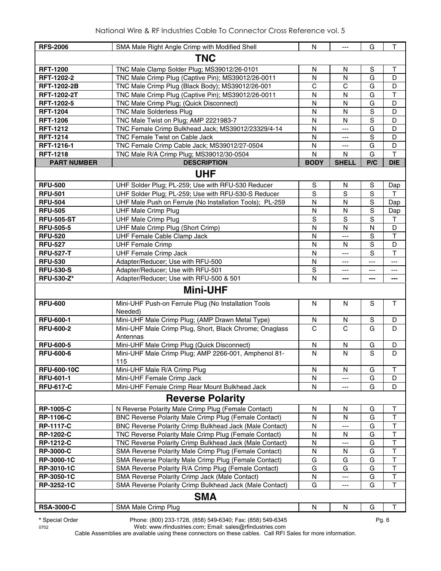| <b>RFS-2006</b>    | SMA Male Right Angle Crimp with Modified Shell                      | N            | $---$        | G            | $\mathsf{T}$ |  |  |
|--------------------|---------------------------------------------------------------------|--------------|--------------|--------------|--------------|--|--|
| <b>TNC</b>         |                                                                     |              |              |              |              |  |  |
| <b>RFT-1200</b>    | TNC Male Clamp Solder Plug; MS39012/26-0101                         | N            | N            | S            | т            |  |  |
| RFT-1202-2         | TNC Male Crimp Plug (Captive Pin); MS39012/26-0011                  | $\mathsf{N}$ | N            | G            | D            |  |  |
| <b>RFT-1202-2B</b> | TNC Male Crimp Plug (Black Body); MS39012/26-001                    | $\mathsf{C}$ | C            | G            | D            |  |  |
| <b>RFT-1202-2T</b> | TNC Male Crimp Plug (Captive Pin); MS39012/26-0011                  | $\mathsf{N}$ | N            | G            | $\top$       |  |  |
| RFT-1202-5         | TNC Male Crimp Plug; (Quick Disconnect)                             | $\mathsf{N}$ | N            | G            | D            |  |  |
| <b>RFT-1204</b>    | <b>TNC Male Solderless Plug</b>                                     | N            | N            | S            | D            |  |  |
| <b>RFT-1206</b>    | TNC Male Twist on Plug; AMP 2221983-7                               | N            | N            | S            | D            |  |  |
| <b>RFT-1212</b>    | TNC Female Crimp Bulkhead Jack; MS39012/23329/4-14                  | N            | ---          | G            | D            |  |  |
| <b>RFT-1214</b>    | <b>TNC Female Twist on Cable Jack</b>                               | N            | $---$        | S            | D            |  |  |
| RFT-1216-1         | TNC Female Crimp Cable Jack; MS39012/27-0504                        | N            | $---$        | G            | D            |  |  |
| <b>RFT-1218</b>    | TNC Male R/A Crimp Plug; MS39012/30-0504                            | N            | N            | G            | $\mathsf{T}$ |  |  |
| <b>PART NUMBER</b> | <b>DESCRIPTION</b>                                                  | <b>BODY</b>  | <b>SHELL</b> | P/C          | <b>DIE</b>   |  |  |
|                    | <b>UHF</b>                                                          |              |              |              |              |  |  |
| <b>RFU-500</b>     | UHF Solder Plug; PL-259; Use with RFU-530 Reducer                   | S            | N            | S            | Dap          |  |  |
| <b>RFU-501</b>     | UHF Solder Plug; PL-259; Use with RFU-530-S Reducer                 | S            | S            | S            | т            |  |  |
| <b>RFU-504</b>     | UHF Male Push on Ferrule (No Installation Tools); PL-259            | N            | N            | S            | Dap          |  |  |
| <b>RFU-505</b>     | <b>UHF Male Crimp Plug</b>                                          | $\mathsf{N}$ | N            | S            | Dap          |  |  |
| <b>RFU-505-ST</b>  | <b>UHF Male Crimp Plug</b>                                          | S            | S            | S            | $\top$       |  |  |
| <b>RFU-505-5</b>   | UHF Male Crimp Plug (Short Crimp)                                   | N            | N            | $\mathsf{N}$ | D            |  |  |
| <b>RFU-520</b>     | UHF Female Cable Clamp Jack                                         | N            | ---          | S            | $\top$       |  |  |
| <b>RFU-527</b>     | <b>UHF Female Crimp</b>                                             | N            | N            | S            | D            |  |  |
| <b>RFU-527-T</b>   | <b>UHF Female Crimp Jack</b>                                        | N            | $---$        | S            | $\mathsf T$  |  |  |
| <b>RFU-530</b>     | Adapter/Reducer; Use with RFU-500                                   | N            | $---$        | $---$        | $---$        |  |  |
| <b>RFU-530-S</b>   | Adapter/Reducer; Use with RFU-501                                   | S            | ---          | ---          | ---          |  |  |
| <b>RFU-530-Z*</b>  | Adapter/Reducer; Use with RFU-500 & 501                             | N            |              | ---          | ---          |  |  |
|                    | <b>Mini-UHF</b>                                                     |              |              |              |              |  |  |
| <b>RFU-600</b>     | Mini-UHF Push-on Ferrule Plug (No Installation Tools                | N            | N            | S            | $\mathsf{T}$ |  |  |
|                    | Needed)                                                             |              |              |              |              |  |  |
| <b>RFU-600-1</b>   | Mini-UHF Male Crimp Plug; (AMP Drawn Metal Type)                    | N            | N.           | S            | D            |  |  |
| <b>RFU-600-2</b>   | Mini-UHF Male Crimp Plug, Short, Black Chrome; Onaglass<br>Antennas | C            | C            | G            | D            |  |  |
| <b>RFU-600-5</b>   | Mini-UHF Male Crimp Plug (Quick Disconnect)                         | N            | N            | G            | D            |  |  |
| <b>RFU-600-6</b>   | Mini-UHF Male Crimp Plug; AMP 2266-001, Amphenol 81-<br>115         | N            | N            | S            | D            |  |  |
| <b>RFU-600-10C</b> | Mini-UHF Male R/A Crimp Plug                                        | N            | N            | G            | Т            |  |  |
| <b>RFU-601-1</b>   | Mini-UHF Female Crimp Jack                                          | N            |              | G            | D            |  |  |
| <b>RFU-617-C</b>   | Mini-UHF Female Crimp Rear Mount Bulkhead Jack                      | $\mathsf{N}$ |              | G            | D            |  |  |
|                    | <b>Reverse Polarity</b>                                             |              |              |              |              |  |  |
| <b>RP-1005-C</b>   | N Reverse Polarity Male Crimp Plug (Female Contact)                 | N            | N            | G            | Т            |  |  |
| <b>RP-1106-C</b>   | BNC Reverse Polarity Male Crimp Plug (Female Contact)               | N            | N            | G            | T            |  |  |
| <b>RP-1117-C</b>   | BNC Reverse Polarity Crimp Bulkhead Jack (Male Contact)             | N            |              | G            | T            |  |  |
| <b>RP-1202-C</b>   | TNC Reverse Polarity Male Crimp Plug (Female Contact)               | N            | N            | G            | T            |  |  |
| <b>RP-1212-C</b>   | TNC Reverse Polarity Crimp Bulkhead Jack (Male Contact)             | N            |              | G            | T            |  |  |
| <b>RP-3000-C</b>   | SMA Reverse Polarity Male Crimp Plug (Female Contact)               | N            | N            | G            | T            |  |  |
| RP-3000-1C         | SMA Reverse Polarity Male Crimp Plug (Female Contact)               | G            | G            | G            | T            |  |  |
| RP-3010-1C         | SMA Reverse Polarity R/A Crimp Plug (Female Contact)                | G            | G            | G            | T            |  |  |
| RP-3050-1C         | SMA Reverse Polarity Crimp Jack (Male Contact)                      | N            | ---          | G            | $\sf T$      |  |  |
| RP-3252-1C         | SMA Reverse Polarity Crimp Bulkhead Jack (Male Contact)             | G            | ---          | G            | $\top$       |  |  |
|                    | <b>SMA</b>                                                          |              |              |              |              |  |  |
| <b>RSA-3000-C</b>  | SMA Male Crimp Plug                                                 | N            | N            | G            | $\top$       |  |  |
|                    |                                                                     |              |              |              |              |  |  |

**\*** Special Order Phone: (800) 233-1728, (858) 549-6340; Fax: (858) 549-6345 Pg. 6

0702 Web: www.rfindustries.com; Email: sales@rfindustries.com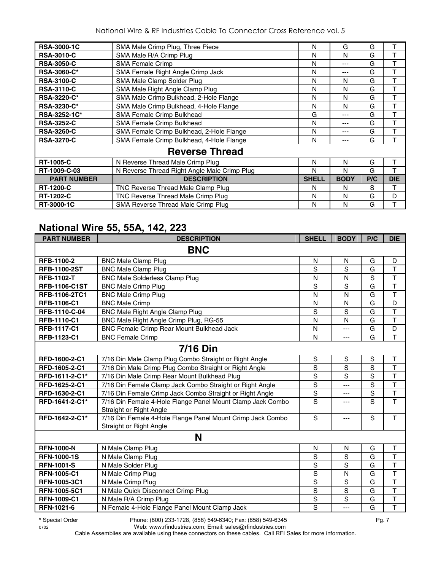National Wire & RF Industries Cable To Connector Cross Reference vol. 5

| <b>RSA-3000-1C</b> | SMA Male Crimp Plug, Three Piece             | N            | G           | G   | т          |
|--------------------|----------------------------------------------|--------------|-------------|-----|------------|
| <b>RSA-3010-C</b>  | SMA Male R/A Crimp Plug                      | N            | N           | G   |            |
| <b>RSA-3050-C</b>  | <b>SMA Female Crimp</b>                      | N            | ---         | G   |            |
| <b>RSA-3060-C*</b> | SMA Female Right Angle Crimp Jack            | N            |             | G   | т          |
| <b>RSA-3100-C</b>  | SMA Male Clamp Solder Plug                   | N            | N           | G   |            |
| <b>RSA-3110-C</b>  | SMA Male Right Angle Clamp Plug              | N            | N           | G   | т          |
| <b>RSA-3220-C*</b> | SMA Male Crimp Bulkhead, 2-Hole Flange       | N            | N           | G   | т          |
| <b>RSA-3230-C*</b> | SMA Male Crimp Bulkhead, 4-Hole Flange       | N            | N           | G   | т          |
| RSA-3252-1C*       | SMA Female Crimp Bulkhead                    | G            | ---         | G   | т          |
| <b>RSA-3252-C</b>  | SMA Female Crimp Bulkhead                    | N            | ---         | G   | т          |
| <b>RSA-3260-C</b>  | SMA Female Crimp Bulkhead, 2-Hole Flange     | N            | ---         | G   | т          |
| <b>RSA-3270-C</b>  | SMA Female Crimp Bulkhead, 4-Hole Flange     | N            | ---         | G   |            |
|                    | <b>Reverse Thread</b>                        |              |             |     |            |
| <b>RT-1005-C</b>   | N Reverse Thread Male Crimp Plug             | N            | N           | G   |            |
| RT-1009-C-03       | N Reverse Thread Right Angle Male Crimp Plug | N            | N           | G   |            |
| <b>PART NUMBER</b> | <b>DESCRIPTION</b>                           | <b>SHELL</b> | <b>BODY</b> | P/C | <b>DIE</b> |
| <b>RT-1200-C</b>   | TNC Reverse Thread Male Clamp Plug           | N            | N           | S   | т          |
| <b>RT-1202-C</b>   | TNC Reverse Thread Male Crimp Plug           | N            | N           | G   | D          |
| RT-3000-1C         | SMA Reverse Thread Male Crimp Plug           | N            | N           | G   |            |

#### **National Wire 55, 55A, 142, 223**

| <b>PART NUMBER</b>   | <b>DESCRIPTION</b>                                                                    | <b>SHELL</b>   | <b>BODY</b>    | P/C            | <b>DIE</b>              |
|----------------------|---------------------------------------------------------------------------------------|----------------|----------------|----------------|-------------------------|
|                      | <b>BNC</b>                                                                            |                |                |                |                         |
| RFB-1100-2           | <b>BNC Male Clamp Plug</b>                                                            | N              | N              | G              | D                       |
| <b>RFB-1100-2ST</b>  | <b>BNC Male Clamp Plug</b>                                                            | S              | S              | G              | $\mathsf T$             |
| <b>RFB-1102-T</b>    | <b>BNC Male Solderless Clamp Plug</b>                                                 | N              | N              | S              | $\overline{\mathsf{T}}$ |
| <b>RFB-1106-C1ST</b> | <b>BNC Male Crimp Plug</b>                                                            | S              | S              | G              | $\top$                  |
| RFB-1106-2TC1        | <b>BNC Male Crimp Plug</b>                                                            | N              | N              | G              | T                       |
| <b>RFB-1106-C1</b>   | <b>BNC Male Crimp</b>                                                                 | N              | N              | G              | D                       |
| RFB-1110-C-04        | <b>BNC Male Right Angle Clamp Plug</b>                                                | S              | S              | G              | $\overline{\mathsf{T}}$ |
| <b>RFB-1110-C1</b>   | BNC Male Right Angle Crimp Plug, RG-55                                                | N              | N              | G              | $\mathsf T$             |
| <b>RFB-1117-C1</b>   | BNC Female Crimp Rear Mount Bulkhead Jack                                             | N              | ---            | G              | D                       |
| RFB-1123-C1          | <b>BNC Female Crimp</b>                                                               | N              | $\overline{a}$ | $\overline{G}$ | $\overline{\mathsf{T}}$ |
|                      | <b>7/16 Din</b>                                                                       |                |                |                |                         |
| RFD-1600-2-C1        | 7/16 Din Male Clamp Plug Combo Straight or Right Angle                                | $\mathbb S$    | S              | $\mathbb S$    | Τ                       |
| RFD-1605-2-C1        | 7/16 Din Male Crimp Plug Combo Straight or Right Angle                                | $\overline{s}$ | $\overline{s}$ | $\overline{s}$ | $\overline{\mathsf{T}}$ |
| RFD-1611-2-C1*       | 7/16 Din Male Crimp Rear Mount Bulkhead Plug                                          | $\mathbf S$    | $\overline{s}$ | $\overline{s}$ | $\overline{\mathsf{T}}$ |
| RFD-1625-2-C1        | 7/16 Din Female Clamp Jack Combo Straight or Right Angle                              | S              | $\overline{a}$ | $\overline{s}$ | $\overline{\mathsf{T}}$ |
| RFD-1630-2-C1        | 7/16 Din Female Crimp Jack Combo Straight or Right Angle                              | $\overline{s}$ | ---            | $\overline{s}$ | $\overline{\mathsf{T}}$ |
| RFD-1641-2-C1*       | 7/16 Din Female 4-Hole Flange Panel Mount Clamp Jack Combo<br>Straight or Right Angle | $\overline{s}$ | ---            | $\overline{s}$ | $\mathsf{T}$            |
| RFD-1642-2-C1*       | 7/16 Din Female 4-Hole Flange Panel Mount Crimp Jack Combo<br>Straight or Right Angle | S              | $---$          | S              | $\mathsf{T}$            |
|                      | N                                                                                     |                |                |                |                         |
| <b>RFN-1000-N</b>    | N Male Clamp Plug                                                                     | N              | N              | G              | $\sf T$                 |
| <b>RFN-1000-1S</b>   | N Male Clamp Plug                                                                     | $\mathbf S$    | S              | G              | $\overline{\mathsf{T}}$ |
| <b>RFN-1001-S</b>    | N Male Solder Plug                                                                    | $\mathbf S$    | S              | G              | $\mathsf T$             |
| <b>RFN-1005-C1</b>   | N Male Crimp Plug                                                                     | S              | N              | G              | $\overline{\mathsf{T}}$ |
| RFN-1005-3C1         | N Male Crimp Plug                                                                     | S              | S              | G              | $\mathsf{T}$            |
| <b>RFN-1005-5C1</b>  | N Male Quick Disconnect Crimp Plug                                                    | $\mathbf S$    | S              | G              | $\mathsf T$             |
| <b>RFN-1009-C1</b>   | N Male R/A Crimp Plug                                                                 | $\mathbf S$    | S              | G              | $\top$                  |
| RFN-1021-6           | N Female 4-Hole Flange Panel Mount Clamp Jack                                         | S              | ---            | G              | $\overline{1}$          |

**\*** Special Order Phone: (800) 233-1728, (858) 549-6340; Fax: (858) 549-6345 Pg. 7

0702 Web: www.rfindustries.com; Email: sales@rfindustries.com Cable Assemblies are available using these connectors on these cables. Call RFI Sales for more information.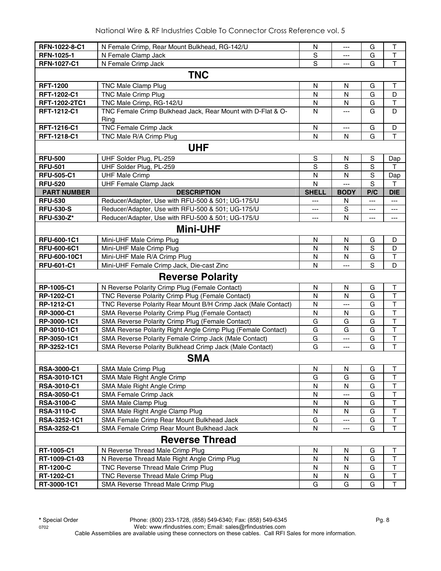| RFN-1022-8-C1                  | N Female Crimp, Rear Mount Bulkhead, RG-142/U                       | N              | ---                   | G           | Τ                                      |
|--------------------------------|---------------------------------------------------------------------|----------------|-----------------------|-------------|----------------------------------------|
| <b>RFN-1025-1</b>              | N Female Clamp Jack                                                 | S              | ---                   | G           | T                                      |
| RFN-1027-C1                    | N Female Crimp Jack                                                 | $\overline{s}$ | $\overline{a}$        | G           | $\overline{\mathsf{T}}$                |
|                                | <b>TNC</b>                                                          |                |                       |             |                                        |
| <b>RFT-1200</b>                | TNC Male Clamp Plug                                                 | $\mathsf{N}$   | $\mathsf{N}$          | G           | $\top$                                 |
| <b>RFT-1202-C1</b>             | <b>TNC Male Crimp Plug</b>                                          | $\mathsf{N}$   | N                     | G           | D                                      |
| RFT-1202-2TC1                  | TNC Male Crimp, RG-142/U                                            | N              | N                     | G           | $\top$                                 |
| RFT-1212-C1                    | TNC Female Crimp Bulkhead Jack, Rear Mount with D-Flat & O-<br>Ring | N              | $\overline{a}$        | G           | D                                      |
| RFT-1216-C1                    | <b>TNC Female Crimp Jack</b>                                        | N              | $\scriptstyle \cdots$ | G           | D                                      |
| RFT-1218-C1                    | TNC Male R/A Crimp Plug                                             | $\mathsf{N}$   | N                     | G           | T                                      |
|                                | <b>UHF</b>                                                          |                |                       |             |                                        |
| <b>RFU-500</b>                 | UHF Solder Plug, PL-259                                             | S              | N                     | S           | Dap                                    |
| <b>RFU-501</b>                 | UHF Solder Plug, PL-259                                             | S              | S                     | $\mathbf S$ | T                                      |
| <b>RFU-505-C1</b>              | <b>UHF Male Crimp</b>                                               | $\mathsf{N}$   | $\mathsf{N}$          | S           | Dap                                    |
| <b>RFU-520</b>                 | <b>UHF Female Clamp Jack</b>                                        | $\mathsf{N}$   | $\overline{a}$        | S           | Т                                      |
| <b>PART NUMBER</b>             | <b>DESCRIPTION</b>                                                  | <b>SHELL</b>   | <b>BODY</b>           | P/C         | <b>DIE</b>                             |
| <b>RFU-530</b>                 | Reducer/Adapter, Use with RFU-500 & 501; UG-175/U                   | ---            | N                     | $---$       | $\qquad \qquad - -$                    |
| <b>RFU-530-S</b>               | Reducer/Adapter, Use with RFU-500 & 501; UG-175/U                   | $---$          | S                     | ---         | $\overline{\phantom{a}}$               |
| <b>RFU-530-Z*</b>              | Reducer/Adapter, Use with RFU-500 & 501; UG-175/U                   | ---            | N                     | ---         | $\qquad \qquad \cdots$                 |
|                                | <b>Mini-UHF</b>                                                     |                |                       |             |                                        |
| RFU-600-1C1                    | Mini-UHF Male Crimp Plug                                            | N              | N                     | G           | D                                      |
| <b>RFU-600-6C1</b>             | Mini-UHF Male Crimp Plug                                            | N              | $\mathsf{N}$          | S           | D                                      |
| RFU-600-10C1                   | Mini-UHF Male R/A Crimp Plug                                        | N              | N                     | G           | $\top$                                 |
| <b>RFU-601-C1</b>              | Mini-UHF Female Crimp Jack, Die-cast Zinc                           | $\mathsf{N}$   | ---                   | S           | D                                      |
|                                | <b>Reverse Polarity</b>                                             |                |                       |             |                                        |
| RP-1005-C1                     | N Reverse Polarity Crimp Plug (Female Contact)                      | N              | N                     | G           | Τ                                      |
| RP-1202-C1                     | TNC Reverse Polarity Crimp Plug (Female Contact)                    | N              | N                     | G           | $\top$                                 |
| RP-1212-C1                     | TNC Reverse Polarity Rear Mount B/H Crimp Jack (Male Contact)       | N              | $---$                 | G           | $\top$                                 |
| RP-3000-C1                     | SMA Reverse Polarity Crimp Plug (Female Contact)                    | N              | N                     | G           | $\mathsf T$                            |
| RP-3000-1C1                    | SMA Reverse Polarity Crimp Plug (Female Contact)                    | G              | G                     | G           | $\mathsf T$                            |
| RP-3010-1C1                    | SMA Reverse Polarity Right Angle Crimp Plug (Female Contact)        | G              | G                     | G           | T                                      |
| RP-3050-1C1                    | SMA Reverse Polarity Female Crimp Jack (Male Contact)               | G              | ---                   | G           | $\overline{\mathsf{T}}$                |
| RP-3252-1C1                    | SMA Reverse Polarity Bulkhead Crimp Jack (Male Contact)             | G              | $\overline{a}$        | G           | $\overline{1}$                         |
|                                | <b>SMA</b>                                                          |                |                       |             |                                        |
| RSA-3000-C1                    | SMA Male Crimp Plug                                                 | N              | N                     | G           | Τ                                      |
| RSA-3010-1C1                   | SMA Male Right Angle Crimp                                          | G              | G                     | G           | T                                      |
| <b>RSA-3010-C1</b>             | SMA Male Right Angle Crimp                                          | N              | N                     | G           | $\mathsf T$                            |
| <b>RSA-3050-C1</b>             | SMA Female Crimp Jack                                               | N              | ---                   | G           | $\top$                                 |
| <b>RSA-3100-C</b>              | SMA Male Clamp Plug                                                 | N              | N                     | G           | $\mathsf T$<br>$\overline{\mathsf{T}}$ |
| <b>RSA-3110-C</b>              | SMA Male Right Angle Clamp Plug                                     | ${\sf N}$      | N                     | G           |                                        |
| RSA-3252-1C1                   | SMA Female Crimp Rear Mount Bulkhead Jack                           | G<br>N         | ---                   | G           | $\overline{\mathsf{T}}$<br>T           |
| RSA-3252-C1                    | SMA Female Crimp Rear Mount Bulkhead Jack                           |                | ---                   | G           |                                        |
|                                | <b>Reverse Thread</b>                                               |                |                       |             |                                        |
| RT-1005-C1<br>RT-1009-C1-03    | N Reverse Thread Male Crimp Plug                                    | N              | N                     | G<br>G      | Τ<br>$\overline{\mathsf{T}}$           |
|                                | N Reverse Thread Male Right Angle Crimp Plug                        | ${\sf N}$      | ${\sf N}$             |             | $\mathsf T$                            |
| <b>RT-1200-C</b><br>RT-1202-C1 | TNC Reverse Thread Male Crimp Plug                                  | N              | N<br>$\mathsf{N}$     | G           | $\mathsf T$                            |
|                                | TNC Reverse Thread Male Crimp Plug                                  | N<br>G         |                       | G<br>G      | $\mathsf T$                            |
| RT-3000-1C1                    | SMA Reverse Thread Male Crimp Plug                                  |                | G                     |             |                                        |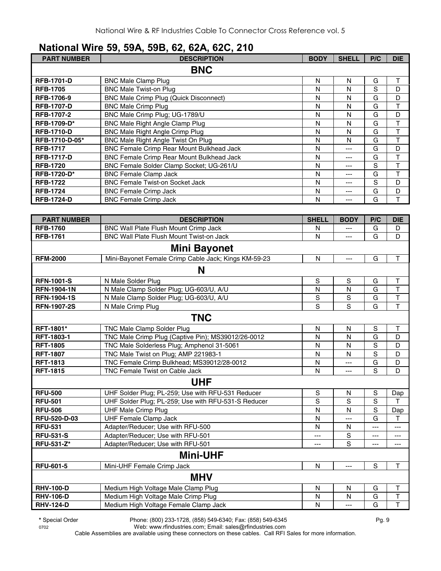# **National Wire 59, 59A, 59B, 62, 62A, 62C, 210**

| <b>PART NUMBER</b> | <b>DESCRIPTION</b>                               | <b>BODY</b>  | <b>SHELL</b> | P/C | <b>DIE</b> |
|--------------------|--------------------------------------------------|--------------|--------------|-----|------------|
|                    | <b>BNC</b>                                       |              |              |     |            |
| <b>RFB-1701-D</b>  | <b>BNC Male Clamp Plug</b>                       | N            | N            | G   | T          |
| <b>RFB-1705</b>    | <b>BNC Male Twist-on Plug</b>                    | N            | N            | S   | D          |
| RFB-1706-9         | <b>BNC Male Crimp Plug (Quick Disconnect)</b>    | N            | N            | G   | D          |
| <b>RFB-1707-D</b>  | <b>BNC Male Crimp Plug</b>                       | N            | N            | G   | T          |
| <b>RFB-1707-2</b>  | BNC Male Crimp Plug; UG-1789/U                   | N            | N            | G   | D          |
| <b>RFB-1709-D*</b> | <b>BNC Male Right Angle Clamp Plug</b>           | N            | N            | G   | T          |
| <b>RFB-1710-D</b>  | <b>BNC Male Right Angle Crimp Plug</b>           | N            | N            | G   | T          |
| RFB-1710-D-05*     | BNC Male Right Angle Twist On Plug               | N            | N            | G   | T          |
| <b>RFB-1717</b>    | <b>BNC Female Crimp Rear Mount Bulkhead Jack</b> | N            | ---          | G   | D          |
| <b>RFB-1717-D</b>  | BNC Female Crimp Rear Mount Bulkhead Jack        | N            | ---          | G   | T          |
| <b>RFB-1720</b>    | BNC Female Solder Clamp Socket; UG-261/U         | N            | ---          | S   | T          |
| <b>RFB-1720-D*</b> | <b>BNC Female Clamp Jack</b>                     | N            | ---          | G   | T          |
| <b>RFB-1722</b>    | <b>BNC Female Twist-on Socket Jack</b>           | N            | ---          | S   | D          |
| <b>RFB-1724</b>    | <b>BNC Female Crimp Jack</b>                     | N            | ---          | G   | D          |
| <b>RFB-1724-D</b>  | <b>BNC Female Crimp Jack</b>                     | N            | ---          | G   | т          |
|                    |                                                  |              |              |     |            |
| <b>PART NUMBER</b> | <b>DESCRIPTION</b>                               | <b>SHELL</b> | <b>BODY</b>  | P/C | <b>DIE</b> |
| <b>RFB-1760</b>    | <b>BNC Wall Plate Flush Mount Crimp Jack</b>     | N            | ---          | G   | D          |
| <b>RFB-1761</b>    | BNC Wall Plate Flush Mount Twist-on Jack         | N            | ---          | G   | D          |

|                     | Mini Bayonet                                         |                |                |             |                         |
|---------------------|------------------------------------------------------|----------------|----------------|-------------|-------------------------|
| <b>RFM-2000</b>     | Mini-Bayonet Female Crimp Cable Jack; Kings KM-59-23 | N              | $\overline{a}$ | G           | T                       |
|                     | N                                                    |                |                |             |                         |
| <b>RFN-1001-S</b>   | N Male Solder Plug                                   | S              | S              | G           | T                       |
| <b>RFN-1904-1N</b>  | N Male Clamp Solder Plug; UG-603/U, A/U              | N              | Ν              | G           | $\overline{1}$          |
| <b>RFN-1904-1S</b>  | N Male Clamp Solder Plug; UG-603/U, A/U              | S              | S              | G           | T                       |
| <b>RFN-1907-2S</b>  | N Male Crimp Plug                                    | $\overline{s}$ | S              | G           | $\overline{\mathsf{T}}$ |
|                     | <b>TNC</b>                                           |                |                |             |                         |
| <b>RFT-1801*</b>    | <b>TNC Male Clamp Solder Plug</b>                    | N              | N              | S           | т                       |
| RFT-1803-1          | TNC Male Crimp Plug (Captive Pin); MS39012/26-0012   | N              | N              | G           | D                       |
| <b>RFT-1805</b>     | TNC Male Solderless Plug; Amphenol 31-5061           | $\mathsf{N}$   | N              | S           | D                       |
| <b>RFT-1807</b>     | TNC Male Twist on Plug; AMP 221983-1                 | N              | N              | $\mathbf S$ | D                       |
| <b>RFT-1813</b>     | TNC Female Crimp Bulkhead; MS39012/28-0012           | $\mathsf{N}$   | ---            | G           | D                       |
| <b>RFT-1815</b>     | TNC Female Twist on Cable Jack                       | N              | ---            | S           | D                       |
|                     | <b>UHF</b>                                           |                |                |             |                         |
| <b>RFU-500</b>      | UHF Solder Plug; PL-259; Use with RFU-531 Reducer    | S              | N              | S           | Dap                     |
| <b>RFU-501</b>      | UHF Solder Plug; PL-259; Use with RFU-531-S Reducer  | S              | S              | S           | T                       |
| <b>RFU-506</b>      | <b>UHF Male Crimp Plug</b>                           | N              | N              | S           | Dap                     |
| <b>RFU-520-D-03</b> | <b>UHF Female Clamp Jack</b>                         | N              | $---$          | G           | T                       |
| <b>RFU-531</b>      | Adapter/Reducer; Use with RFU-500                    | $\mathsf{N}$   | N              | ---         | ---                     |
| <b>RFU-531-S</b>    | Adapter/Reducer; Use with RFU-501                    | ---            | S              | ---         | ---                     |
| <b>RFU-531-Z*</b>   | Adapter/Reducer; Use with RFU-501                    | $---$          | S              | $---$       | ---                     |
|                     | <b>Mini-UHF</b>                                      |                |                |             |                         |
| <b>RFU-601-5</b>    | Mini-UHF Female Crimp Jack                           | N              | ---            | S           | T                       |
|                     | <b>MHV</b>                                           |                |                |             |                         |
| <b>RHV-100-D</b>    | Medium High Voltage Male Clamp Plug                  | N              | N              | G           | $\mathsf T$             |
| <b>RHV-106-D</b>    | Medium High Voltage Male Crimp Plug                  | N              | N              | G           | T                       |
| <b>RHV-124-D</b>    | Medium High Voltage Female Clamp Jack                | N              | ---            | G           | $\overline{\mathsf{T}}$ |

**\*** Special Order Phone: (800) 233-1728, (858) 549-6340; Fax: (858) 549-6345 Pg. 9

0702 Web: www.rfindustries.com; Email: sales@rfindustries.com Cable Assemblies are available using these connectors on these cables. Call RFI Sales for more information.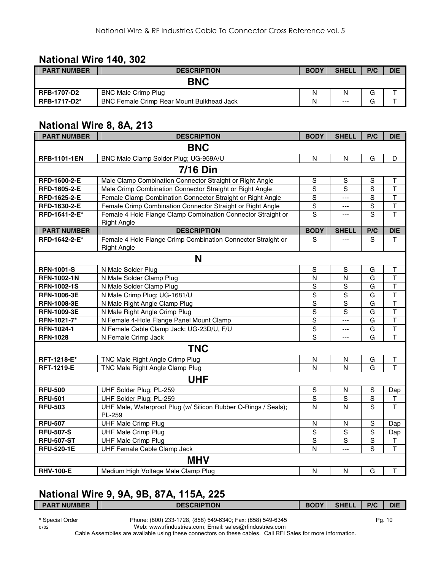#### **National Wire 140, 302**

| <b>PART NUMBER</b>  | <b>DESCRIPTION</b>                               | <b>BODY</b> | <b>SHELL</b> | P/C    | <b>DIE</b> |
|---------------------|--------------------------------------------------|-------------|--------------|--------|------------|
|                     | <b>BNC</b>                                       |             |              |        |            |
| <b>RFB-1707-D2</b>  | <b>BNC Male Crimp Plug</b>                       | Ν           | N            |        |            |
| <b>RFB-1717-D2*</b> | <b>BNC Female Crimp Rear Mount Bulkhead Jack</b> | Ν           | $---$        | $\sim$ |            |

#### **National Wire 8, 8A, 213**

| <b>PART NUMBER</b>  | <b>DESCRIPTION</b>                                                                 | <b>BODY</b>    | <b>SHELL</b>   | P/C            | <b>DIE</b>              |
|---------------------|------------------------------------------------------------------------------------|----------------|----------------|----------------|-------------------------|
|                     | <b>BNC</b>                                                                         |                |                |                |                         |
| <b>RFB-1101-1EN</b> | BNC Male Clamp Solder Plug; UG-959A/U                                              | N              | N              | G              | D                       |
|                     | <b>7/16 Din</b>                                                                    |                |                |                |                         |
| RFD-1600-2-E        | Male Clamp Combination Connector Straight or Right Angle                           | S              | S              | S              | Τ                       |
| RFD-1605-2-E        | Male Crimp Combination Connector Straight or Right Angle                           | S              | S              | S              | $\overline{\mathsf{T}}$ |
| RFD-1625-2-E        | Female Clamp Combination Connector Straight or Right Angle                         | $\mathsf S$    | $---$          | $\mathbf S$    | $\top$                  |
| RFD-1630-2-E        | Female Crimp Combination Connector Straight or Right Angle                         | $\overline{s}$ | $\overline{a}$ | $\overline{S}$ | T                       |
| RFD-1641-2-E*       | Female 4 Hole Flange Clamp Combination Connector Straight or                       | $\overline{s}$ | $\overline{a}$ | $\overline{s}$ | $\overline{\mathsf{T}}$ |
|                     | <b>Right Angle</b>                                                                 |                |                |                |                         |
| <b>PART NUMBER</b>  | <b>DESCRIPTION</b>                                                                 | <b>BODY</b>    | <b>SHELL</b>   | P/C            | <b>DIE</b>              |
| RFD-1642-2-E*       | Female 4 Hole Flange Crimp Combination Connector Straight or<br><b>Right Angle</b> | S              |                | S              | T.                      |
|                     | N                                                                                  |                |                |                |                         |
| <b>RFN-1001-S</b>   | N Male Solder Plug                                                                 | S              | S              | G              | Τ                       |
| <b>RFN-1002-1N</b>  | N Male Solder Clamp Plug                                                           | N              | $\mathsf{N}$   | G              | $\overline{\mathsf{T}}$ |
| <b>RFN-1002-1S</b>  | N Male Solder Clamp Plug                                                           | S              | $\overline{s}$ | G              | T                       |
| <b>RFN-1006-3E</b>  | N Male Crimp Plug; UG-1681/U                                                       | S              | S              | G              | $\overline{\mathsf{T}}$ |
| <b>RFN-1008-3E</b>  | N Male Right Angle Clamp Plug                                                      | S              | S              | G              | $\top$                  |
| <b>RFN-1009-3E</b>  | N Male Right Angle Crimp Plug                                                      | S              | S              | G              | $\mathsf T$             |
| RFN-1021-7*         | N Female 4-Hole Flange Panel Mount Clamp                                           | $\overline{s}$ | ---            | G              | $\overline{\mathsf{T}}$ |
| RFN-1024-1          | N Female Cable Clamp Jack; UG-23D/U, F/U                                           | $\overline{s}$ | ---            | G              | $\overline{\mathsf{T}}$ |
| <b>RFN-1028</b>     | N Female Crimp Jack                                                                | $\overline{s}$ | $\overline{a}$ | G              | $\overline{\mathsf{T}}$ |
|                     | <b>TNC</b>                                                                         |                |                |                |                         |
| RFT-1218-E*         | TNC Male Right Angle Crimp Plug                                                    | $\mathsf{N}$   | N              | G              | T                       |
| <b>RFT-1219-E</b>   | TNC Male Right Angle Clamp Plug                                                    | $\mathsf{N}$   | $\mathsf{N}$   | G              | $\overline{\mathsf{T}}$ |
|                     | <b>UHF</b>                                                                         |                |                |                |                         |
| <b>RFU-500</b>      | UHF Solder Plug; PL-259                                                            | S              | N              | $\mathbf S$    | Dap                     |
| <b>RFU-501</b>      | UHF Solder Plug; PL-259                                                            | $\overline{s}$ | S              | $\overline{s}$ | $\top$                  |
| <b>RFU-503</b>      | UHF Male, Waterproof Plug (w/ Silicon Rubber O-Rings / Seals);<br>PL-259           | N              | $\mathsf{N}$   | $\overline{s}$ | T                       |
| <b>RFU-507</b>      | <b>UHF Male Crimp Plug</b>                                                         | N              | $\mathsf{N}$   | S              | Dap                     |
| <b>RFU-507-S</b>    | <b>UHF Male Crimp Plug</b>                                                         | S              | $\mathbf S$    | $\mathbf S$    | Dap                     |
| <b>RFU-507-ST</b>   | <b>UHF Male Crimp Plug</b>                                                         | $\overline{S}$ | $\mathbf S$    | $\overline{s}$ | T                       |
| <b>RFU-520-1E</b>   | UHF Female Cable Clamp Jack                                                        | N              | ---            | S              | T                       |
|                     | <b>MHV</b>                                                                         |                |                |                |                         |
| <b>RHV-100-E</b>    | Medium High Voltage Male Clamp Plug                                                | $\mathsf{N}$   | $\mathsf{N}$   | G              | $\top$                  |

## **National Wire 9, 9A, 9B, 87A, 115A, 225**

| <b>PART NUMBER</b> | <b>DESCRIPTION</b>                                         | <b>BODY</b> | <b>SHELL</b> | P/C | <b>DIE</b> |
|--------------------|------------------------------------------------------------|-------------|--------------|-----|------------|
| * Special Order    | Phone: (800) 233-1728, (858) 549-6340; Fax: (858) 549-6345 |             |              |     | Pa. 10     |

0702 Web: www.rfindustries.com; Email: sales@rfindustries.com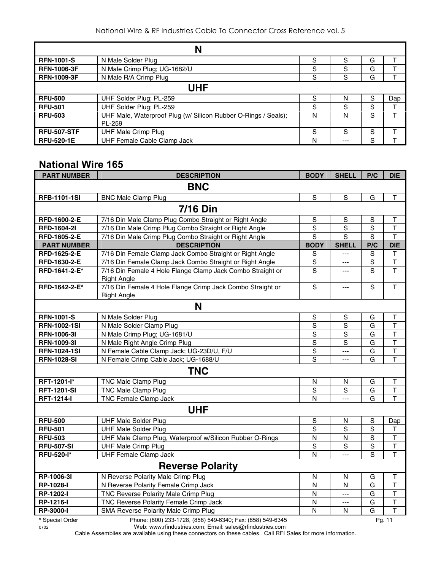|                    | N                                                                        |   |       |   |     |  |  |  |
|--------------------|--------------------------------------------------------------------------|---|-------|---|-----|--|--|--|
| <b>RFN-1001-S</b>  | N Male Solder Plug                                                       | S | S     | G |     |  |  |  |
| <b>RFN-1006-3F</b> | N Male Crimp Plug; UG-1682/U                                             | S | S     | G |     |  |  |  |
| <b>RFN-1009-3F</b> | N Male R/A Crimp Plug                                                    | S | S     | G |     |  |  |  |
|                    | <b>UHF</b>                                                               |   |       |   |     |  |  |  |
| <b>RFU-500</b>     | UHF Solder Plug; PL-259                                                  | S | N     | S | Dap |  |  |  |
| <b>RFU-501</b>     | UHF Solder Plug; PL-259                                                  | S | S     | S |     |  |  |  |
| <b>RFU-503</b>     | UHF Male, Waterproof Plug (w/ Silicon Rubber O-Rings / Seals);<br>PL-259 | N | N     | S |     |  |  |  |
| <b>RFU-507-STF</b> | UHF Male Crimp Plug                                                      | S | S     | S |     |  |  |  |
| <b>RFU-520-1E</b>  | UHF Female Cable Clamp Jack                                              | N | $---$ | S |     |  |  |  |

#### **National Wire 165**

| <b>PART NUMBER</b>  | <b>DESCRIPTION</b>                                                               | <b>BODY</b>    | <b>SHELL</b>            | P/C            | <b>DIE</b>              |
|---------------------|----------------------------------------------------------------------------------|----------------|-------------------------|----------------|-------------------------|
|                     | <b>BNC</b>                                                                       |                |                         |                |                         |
| <b>RFB-1101-1SI</b> | <b>BNC Male Clamp Plug</b>                                                       | S              | S                       | G              | T                       |
|                     | <b>7/16 Din</b>                                                                  |                |                         |                |                         |
| RFD-1600-2-E        | 7/16 Din Male Clamp Plug Combo Straight or Right Angle                           | S              | S                       | S              | т                       |
| <b>RFD-1604-2I</b>  | 7/16 Din Male Crimp Plug Combo Straight or Right Angle                           | $\overline{s}$ | $\overline{s}$          | S              | $\mathsf T$             |
| RFD-1605-2-E        | 7/16 Din Male Crimp Plug Combo Straight or Right Angle                           | $\overline{s}$ | $\overline{s}$          | S              | $\mathsf{T}$            |
| <b>PART NUMBER</b>  | <b>DESCRIPTION</b>                                                               | <b>BODY</b>    | <b>SHELL</b>            | P/C            | <b>DIE</b>              |
| RFD-1625-2-E        | 7/16 Din Female Clamp Jack Combo Straight or Right Angle                         | S              | $---$                   | S              | $\mathsf T$             |
| RFD-1630-2-E        | 7/16 Din Female Clamp Jack Combo Straight or Right Angle                         | ${\mathsf S}$  | ---                     | S              | $\top$                  |
| RFD-1641-2-E*       | 7/16 Din Female 4 Hole Flange Clamp Jack Combo Straight or<br><b>Right Angle</b> | S              | ---                     | S              | T                       |
| RFD-1642-2-E*       | 7/16 Din Female 4 Hole Flange Crimp Jack Combo Straight or<br><b>Right Angle</b> | $\mathbf S$    | $\overline{a}$          | S              | T                       |
|                     | N                                                                                |                |                         |                |                         |
| <b>RFN-1001-S</b>   | N Male Solder Plug                                                               | $\mathsf S$    | ${\mathsf S}$           | G              | T                       |
| <b>RFN-1002-1SI</b> | N Male Solder Clamp Plug                                                         | $\overline{s}$ | $\overline{s}$          | G              | $\mathsf T$             |
| <b>RFN-1006-3I</b>  | N Male Crimp Plug; UG-1681/U                                                     | $\overline{s}$ | $\mathsf S$             | G              | $\overline{\mathsf{T}}$ |
| <b>RFN-1009-31</b>  | N Male Right Angle Crimp Plug                                                    | $\mathsf S$    | S                       | G              | $\mathsf T$             |
| <b>RFN-1024-1SI</b> | N Female Cable Clamp Jack; UG-23D/U, F/U                                         | $\mathsf S$    | ---                     | G              | $\top$                  |
| <b>RFN-1028-SI</b>  | N Female Crimp Cable Jack; UG-1688/U                                             | S              | ---                     | G              | T                       |
|                     | <b>TNC</b>                                                                       |                |                         |                |                         |
| RFT-1201-l*         | <b>TNC Male Clamp Plug</b>                                                       | N              | $\mathsf{N}$            | G              | $\mathsf{T}$            |
| <b>RFT-1201-SI</b>  | <b>TNC Male Clamp Plug</b>                                                       | S              | S                       | G              | $\mathsf T$             |
| <b>RFT-1214-I</b>   | TNC Female Clamp Jack                                                            | N              | $\overline{a}$          | G              | $\mathsf{T}$            |
|                     | <b>UHF</b>                                                                       |                |                         |                |                         |
| <b>RFU-500</b>      | <b>UHF Male Solder Plug</b>                                                      | S              | N                       | $\mathbf S$    | Dap                     |
| <b>RFU-501</b>      | <b>UHF Male Solder Plug</b>                                                      | $\overline{s}$ | S                       | $\overline{s}$ | $\sf T$                 |
| <b>RFU-503</b>      | UHF Male Clamp Plug, Waterproof w/Silicon Rubber O-Rings                         | N              | N                       | S              | $\mathsf T$             |
| <b>RFU-507-SI</b>   | <b>UHF Male Crimp Plug</b>                                                       | S              | S                       | $\mathbf S$    | $\overline{\mathsf{T}}$ |
| <b>RFU-520-I*</b>   | <b>UHF Female Clamp Jack</b>                                                     | N              | $---$                   | S              | T                       |
|                     | <b>Reverse Polarity</b>                                                          |                |                         |                |                         |
| RP-1006-3I          | N Reverse Polarity Male Crimp Plug                                               | N              | $\overline{\mathsf{N}}$ | G              | $\mathsf T$             |
| RP-1028-I           | N Reverse Polarity Female Crimp Jack                                             | N              | N                       | G              | $\overline{\mathsf{T}}$ |
| RP-1202-I           | TNC Reverse Polarity Male Crimp Plug                                             | N              | $\overline{a}$          | G              | $\overline{\mathsf{T}}$ |
| <b>RP-1216-I</b>    | TNC Reverse Polarity Female Crimp Jack                                           | N              | $\overline{a}$          | G              | $\top$                  |
| <b>RP-3000-I</b>    | SMA Reverse Polarity Male Crimp Plug                                             | N              | N                       | G              | T                       |
| * Special Order     | Phone: (800) 233-1728, (858) 549-6340; Fax: (858) 549-6345                       |                |                         |                | Pg. 11                  |

0702 Web: www.rfindustries.com; Email: sales@rfindustries.com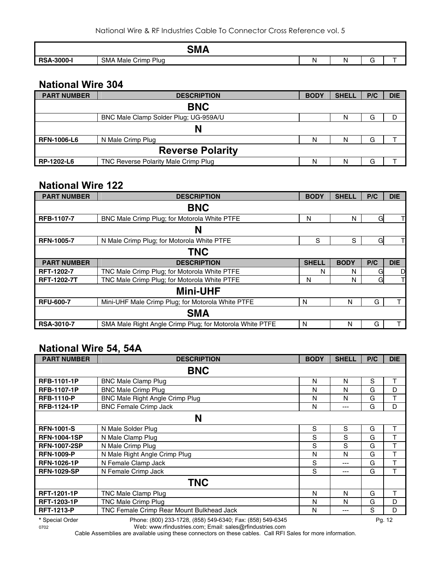|                        | <b>CRA</b><br>JIII               |  |                   |  |
|------------------------|----------------------------------|--|-------------------|--|
| <b>A-3000-l</b><br>RS/ | <b>SMA</b><br>Plua<br>Male Crimp |  | $\epsilon =$<br>๛ |  |

#### **National Wire 304**

| <b>PART NUMBER</b>      | <b>DESCRIPTION</b>                    | <b>BODY</b> | <b>SHELL</b> | P/C | <b>DIE</b> |  |  |  |
|-------------------------|---------------------------------------|-------------|--------------|-----|------------|--|--|--|
|                         | <b>BNC</b>                            |             |              |     |            |  |  |  |
|                         | BNC Male Clamp Solder Plug: UG-959A/U |             | N            | G   |            |  |  |  |
|                         |                                       |             |              |     |            |  |  |  |
| <b>RFN-1006-L6</b>      | N Male Crimp Plug                     | N           | N            | G   |            |  |  |  |
| <b>Reverse Polarity</b> |                                       |             |              |     |            |  |  |  |
| RP-1202-L6              | TNC Reverse Polarity Male Crimp Plug  | N           | N            | G   |            |  |  |  |

#### **National Wire 122**

| <b>PART NUMBER</b> | <b>DESCRIPTION</b>                                       | <b>BODY</b>  | <b>SHELL</b> | P/C | <b>DIE</b> |  |
|--------------------|----------------------------------------------------------|--------------|--------------|-----|------------|--|
|                    | <b>BNC</b>                                               |              |              |     |            |  |
| <b>RFB-1107-7</b>  | BNC Male Crimp Plug; for Motorola White PTFE             | N            | N            | G   |            |  |
|                    | N                                                        |              |              |     |            |  |
| <b>RFN-1005-7</b>  | N Male Crimp Plug; for Motorola White PTFE               | S            | S            | G   |            |  |
|                    | <b>TNC</b>                                               |              |              |     |            |  |
| <b>PART NUMBER</b> | <b>DESCRIPTION</b>                                       | <b>SHELL</b> | <b>BODY</b>  | P/C | <b>DIE</b> |  |
| <b>RFT-1202-7</b>  | TNC Male Crimp Plug; for Motorola White PTFE             | N            | N            | Gl  | D          |  |
| <b>RFT-1202-7T</b> | TNC Male Crimp Plug; for Motorola White PTFE             | N            | N            | Gl  |            |  |
|                    | <b>Mini-UHF</b>                                          |              |              |     |            |  |
| <b>RFU-600-7</b>   | Mini-UHF Male Crimp Plug; for Motorola White PTFE        | N            | N            | G   |            |  |
|                    | <b>SMA</b>                                               |              |              |     |            |  |
| <b>RSA-3010-7</b>  | SMA Male Right Angle Crimp Plug; for Motorola White PTFE | N            | N            | G   | т          |  |

#### **National Wire 54, 54A**

| <b>PART NUMBER</b>  | <b>DESCRIPTION</b>                        | <b>BODY</b> | <b>SHELL</b> | P/C | <b>DIE</b> |
|---------------------|-------------------------------------------|-------------|--------------|-----|------------|
|                     | <b>BNC</b>                                |             |              |     |            |
| <b>RFB-1101-1P</b>  | <b>BNC Male Clamp Plug</b>                | N           | N            | S   | т          |
| <b>RFB-1107-1P</b>  | <b>BNC Male Crimp Plug</b>                | N           | N            | G   | D          |
| <b>RFB-1110-P</b>   | <b>BNC Male Right Angle Crimp Plug</b>    | N           | N            | G   | т          |
| <b>RFB-1124-1P</b>  | <b>BNC Female Crimp Jack</b>              | Ν           | ---          | G   | D          |
|                     | N                                         |             |              |     |            |
| <b>RFN-1001-S</b>   | N Male Solder Plug                        | S           | S            | G   | т          |
| <b>RFN-1004-1SP</b> | N Male Clamp Plug                         | S           | S            | G   |            |
| <b>RFN-1007-2SP</b> | N Male Crimp Plug                         | S           | S            | G   | т          |
| <b>RFN-1009-P</b>   | N Male Right Angle Crimp Plug             | N           | N            | G   | Т          |
| <b>RFN-1026-1P</b>  | N Female Clamp Jack                       | S           | ---          | G   | T          |
| <b>RFN-1029-SP</b>  | N Female Crimp Jack                       | S           | ---          | G   | т          |
|                     | <b>TNC</b>                                |             |              |     |            |
| <b>RFT-1201-1P</b>  | TNC Male Clamp Plug                       | N           | N            | G   | т          |
| <b>RFT-1203-1P</b>  | <b>TNC Male Crimp Plug</b>                | N           | N            | G   | D          |
| <b>RFT-1213-P</b>   | TNC Female Crimp Rear Mount Bulkhead Jack | N           | ---          | S   | D          |

0702 Web: www.rfindustries.com; Email: sales@rfindustries.com

**<sup>\*</sup>** Special Order Phone: (800) 233-1728, (858) 549-6340; Fax: (858) 549-6345 Pg. 12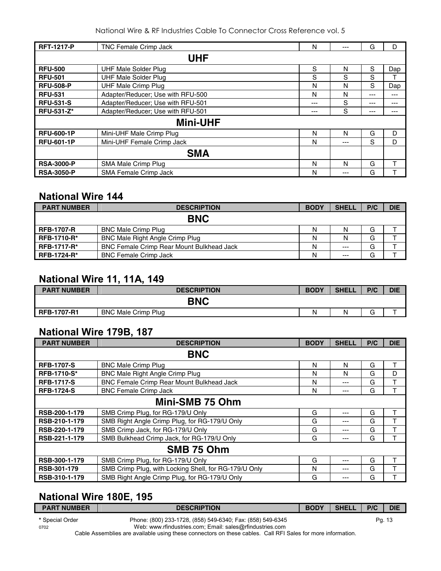National Wire & RF Industries Cable To Connector Cross Reference vol. 5

| <b>RFT-1217-P</b> | <b>TNC Female Crimp Jack</b>      | N   | --- | G     | D   |
|-------------------|-----------------------------------|-----|-----|-------|-----|
|                   | <b>UHF</b>                        |     |     |       |     |
| <b>RFU-500</b>    | UHF Male Solder Plug              | S   | N   | S     | Dap |
| <b>RFU-501</b>    | <b>UHF Male Solder Plug</b>       | S   | S   | S     |     |
| <b>RFU-508-P</b>  | <b>UHF Male Crimp Plug</b>        | N   | N   | S     | Dap |
| <b>RFU-531</b>    | Adapter/Reducer; Use with RFU-500 | N   | N   | ---   | --- |
| <b>RFU-531-S</b>  | Adapter/Reducer; Use with RFU-501 | --- | S   | ---   | --- |
| <b>RFU-531-Z*</b> | Adapter/Reducer; Use with RFU-501 | --- | S   | $---$ | --- |
|                   | <b>Mini-UHF</b>                   |     |     |       |     |
| <b>RFU-600-1P</b> | Mini-UHF Male Crimp Plug          | N   | N   | G     | D   |
| <b>RFU-601-1P</b> | Mini-UHF Female Crimp Jack        | N   | --- | S     | D   |
|                   | <b>SMA</b>                        |     |     |       |     |
| <b>RSA-3000-P</b> | SMA Male Crimp Plug               | N   | N   | G     | т   |
| <b>RSA-3050-P</b> | <b>SMA Female Crimp Jack</b>      | N   | --- | G     |     |

#### **National Wire 144**

| <b>PART NUMBER</b> | <b>DESCRIPTION</b>                               | <b>BODY</b> | <b>SHELL</b> | P/C | <b>DIE</b> |
|--------------------|--------------------------------------------------|-------------|--------------|-----|------------|
|                    | <b>BNC</b>                                       |             |              |     |            |
| <b>RFB-1707-R</b>  | <b>BNC Male Crimp Plug</b>                       | N           | N            | G   |            |
| <b>RFB-1710-R*</b> | <b>BNC Male Right Angle Crimp Plug</b>           | N           | N            | G   |            |
| <b>RFB-1717-R*</b> | <b>BNC Female Crimp Rear Mount Bulkhead Jack</b> | N           | $---$        | G   |            |
| <b>RFB-1724-R*</b> | <b>BNC Female Crimp Jack</b>                     | N           | $---$        | G   |            |

#### **National Wire 11, 11A, 149**

| <b>PART NUMBER</b> | <b>DESCRIPTION</b>         | <b>BODY</b> | <b>SHELL</b> | P/C         | <b>DIE</b> |  |
|--------------------|----------------------------|-------------|--------------|-------------|------------|--|
| <b>BNC</b>         |                            |             |              |             |            |  |
| <b>RFB-1707-R1</b> | <b>BNC Male Crimp Plug</b> | N           | N            | $\sim$<br>G |            |  |

## **National Wire 179B, 187**

| <b>PART NUMBER</b> | <b>DESCRIPTION</b>                                    | <b>BODY</b> | <b>SHELL</b> | P/C | <b>DIE</b> |  |
|--------------------|-------------------------------------------------------|-------------|--------------|-----|------------|--|
| <b>BNC</b>         |                                                       |             |              |     |            |  |
| <b>RFB-1707-S</b>  | <b>BNC Male Crimp Plug</b>                            | N           | N            | G   | т          |  |
| <b>RFB-1710-S*</b> | BNC Male Right Angle Crimp Plug                       | N           | N            | G   | D          |  |
| <b>RFB-1717-S</b>  | BNC Female Crimp Rear Mount Bulkhead Jack             | N           | ---          | G   | T          |  |
| <b>RFB-1724-S</b>  | <b>BNC Female Crimp Jack</b>                          | N           | ---          | G   | Т          |  |
| Mini-SMB 75 Ohm    |                                                       |             |              |     |            |  |
| RSB-200-1-179      | SMB Crimp Plug, for RG-179/U Only                     | G           | $- - -$      | G   | т          |  |
| RSB-210-1-179      | SMB Right Angle Crimp Plug, for RG-179/U Only         | G           | ---          | G   | т          |  |
| RSB-220-1-179      | SMB Crimp Jack, for RG-179/U Only                     | G           | ---          | G   | т          |  |
| RSB-221-1-179      | SMB Bulkhead Crimp Jack, for RG-179/U Only            | G           | ---          | G   | т          |  |
| SMB 75 Ohm         |                                                       |             |              |     |            |  |
| RSB-300-1-179      | SMB Crimp Plug, for RG-179/U Only                     | G           | $- - -$      | G   | т          |  |
| RSB-301-179        | SMB Crimp Plug, with Locking Shell, for RG-179/U Only | N           | ---          | G   | т          |  |
| RSB-310-1-179      | SMB Right Angle Crimp Plug, for RG-179/U Only         | G           | ---          | G   |            |  |

## **National Wire 180E, 195**

| <b>PART NUMBER</b> | <b>DESCRIPTION</b>                                         | <b>BODY</b> | <b>SHELL</b> | P/C | <b>DIE</b> |
|--------------------|------------------------------------------------------------|-------------|--------------|-----|------------|
| * Special Order    | Phone: (800) 233-1728, (858) 549-6340; Fax: (858) 549-6345 |             |              |     | Pg. 13     |
| 0702               | Web: www.rfindustries.com; Email: sales@rfindustries.com   |             |              |     |            |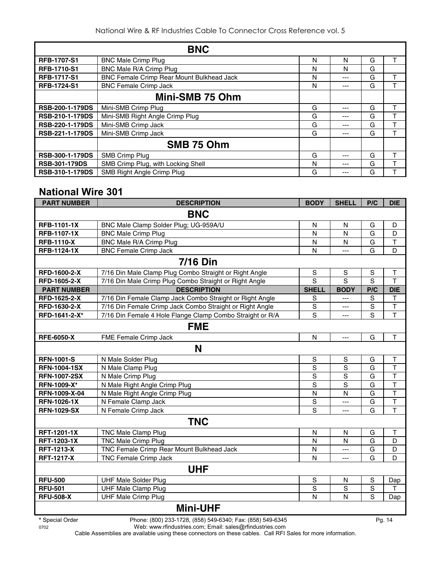|                        | <b>BNC</b>                                       |   |     |   |   |
|------------------------|--------------------------------------------------|---|-----|---|---|
| <b>RFB-1707-S1</b>     | <b>BNC Male Crimp Plug</b>                       | N | N   | G |   |
| <b>RFB-1710-S1</b>     | BNC Male R/A Crimp Plug                          | N | N   | G |   |
| <b>RFB-1717-S1</b>     | <b>BNC Female Crimp Rear Mount Bulkhead Jack</b> | N | --- | G |   |
| <b>RFB-1724-S1</b>     | <b>BNC Female Crimp Jack</b>                     | N | --- | G |   |
|                        | Mini-SMB 75 Ohm                                  |   |     |   |   |
| <b>RSB-200-1-179DS</b> | Mini-SMB Crimp Plug                              | G | --- | G |   |
| <b>RSB-210-1-179DS</b> | Mini-SMB Right Angle Crimp Plug                  | G | --- | G |   |
| <b>RSB-220-1-179DS</b> | Mini-SMB Crimp Jack                              | G | --- | G |   |
| <b>RSB-221-1-179DS</b> | Mini-SMB Crimp Jack                              | G | --- | G |   |
|                        | SMB 75 Ohm                                       |   |     |   |   |
| <b>RSB-300-1-179DS</b> | SMB Crimp Plug                                   | G | --- | G | ᠇ |
| <b>RSB-301-179DS</b>   | SMB Crimp Plug, with Locking Shell               | N | --- | G |   |
| <b>RSB-310-1-179DS</b> | SMB Right Angle Crimp Plug                       | G | --- | G |   |

#### **National Wire 301**

| <b>PART NUMBER</b>  | <b>DESCRIPTION</b>                                        | <b>BODY</b>    | <b>SHELL</b>   | P/C         | <b>DIE</b>   |  |
|---------------------|-----------------------------------------------------------|----------------|----------------|-------------|--------------|--|
| <b>BNC</b>          |                                                           |                |                |             |              |  |
| <b>RFB-1101-1X</b>  | BNC Male Clamp Solder Plug; UG-959A/U                     | N              | N              | G           | D            |  |
| <b>RFB-1107-1X</b>  | <b>BNC Male Crimp Plug</b>                                | N              | N              | G           | D            |  |
| <b>RFB-1110-X</b>   | BNC Male R/A Crimp Plug                                   | N              | N              | G           | $\mathsf T$  |  |
| <b>RFB-1124-1X</b>  | <b>BNC Female Crimp Jack</b>                              | N              | $---$          | G           | D            |  |
|                     | <b>7/16 Din</b>                                           |                |                |             |              |  |
| <b>RFD-1600-2-X</b> | 7/16 Din Male Clamp Plug Combo Straight or Right Angle    | S              | S              | S           | Τ            |  |
| RFD-1605-2-X        | 7/16 Din Male Crimp Plug Combo Straight or Right Angle    | S              | S              | S           | T            |  |
| <b>PART NUMBER</b>  | <b>DESCRIPTION</b>                                        | <b>SHELL</b>   | <b>BODY</b>    | P/C         | <b>DIE</b>   |  |
| RFD-1625-2-X        | 7/16 Din Female Clamp Jack Combo Straight or Right Angle  | S              | ---            | $\mathbf S$ | T            |  |
| RFD-1630-2-X        | 7/16 Din Female Crimp Jack Combo Straight or Right Angle  | S              | ---            | S           | T            |  |
| RFD-1641-2-X*       | 7/16 Din Female 4 Hole Flange Clamp Combo Straight or R/A | S              | $\overline{a}$ | S           | $\mathsf{T}$ |  |
|                     | <b>FME</b>                                                |                |                |             |              |  |
| <b>RFE-6050-X</b>   | FME Female Crimp Jack                                     | N              | $\overline{a}$ | G           | T            |  |
|                     | N                                                         |                |                |             |              |  |
| <b>RFN-1001-S</b>   | N Male Solder Plug                                        | $\mathbf S$    | S              | G           | T            |  |
| <b>RFN-1004-1SX</b> | N Male Clamp Plug                                         | S              | S              | G           | T            |  |
| <b>RFN-1007-2SX</b> | N Male Crimp Plug                                         | $\overline{s}$ | $\mathbf S$    | G           | $\top$       |  |
| RFN-1009-X*         | N Male Right Angle Crimp Plug                             | $\overline{s}$ | S              | G           | T            |  |
| RFN-1009-X-04       | N Male Right Angle Crimp Plug                             | N              | N              | G           | T            |  |
| <b>RFN-1026-1X</b>  | N Female Clamp Jack                                       | $\mathbf S$    | ---            | G           | $\mathsf{T}$ |  |
| <b>RFN-1029-SX</b>  | N Female Crimp Jack                                       | $\overline{s}$ | $---$          | G           | T            |  |
|                     | <b>TNC</b>                                                |                |                |             |              |  |
| <b>RFT-1201-1X</b>  | <b>TNC Male Clamp Plug</b>                                | N              | N              | G           | T            |  |
| <b>RFT-1203-1X</b>  | <b>TNC Male Crimp Plug</b>                                | N              | N              | G           | D            |  |
| <b>RFT-1213-X</b>   | TNC Female Crimp Rear Mount Bulkhead Jack                 | N              | $\overline{a}$ | G           | D            |  |
| <b>RFT-1217-X</b>   | TNC Female Crimp Jack                                     | N              | $\overline{a}$ | G           | D            |  |
| <b>UHF</b>          |                                                           |                |                |             |              |  |
| <b>RFU-500</b>      | <b>UHF Male Solder Plug</b>                               | ${\mathsf S}$  | N              | S           | Dap          |  |
| <b>RFU-501</b>      | <b>UHF Male Clamp Plug</b>                                | S              | S              | $\mathbf S$ | T            |  |
| <b>RFU-508-X</b>    | <b>UHF Male Crimp Plug</b>                                | N              | N              | S           | Dap          |  |
| <b>Mini-UHF</b>     |                                                           |                |                |             |              |  |

**\*** Special Order Phone: (800) 233-1728, (858) 549-6340; Fax: (858) 549-6345 Pg. 14

0702 Web: www.rfindustries.com; Email: sales@rfindustries.com Cable Assemblies are available using these connectors on these cables. Call RFI Sales for more information.